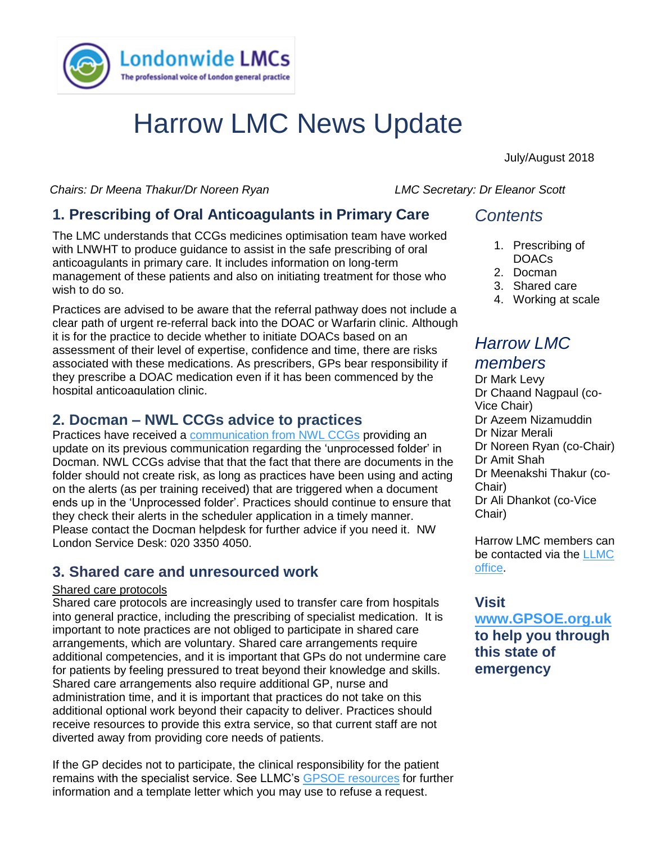

# Harrow LMC News Update

July/August 2018

*Chairs: Dr Meena Thakur/Dr Noreen Ryan LMC Secretary: Dr Eleanor Scott* 

# **1. Prescribing of Oral Anticoagulants in Primary Care**

anticoagulants in primary care. It includes information on long-term The LMC understands that CCGs medicines optimisation team have worked with LNWHT to produce guidance to assist in the safe prescribing of oral management of these patients and also on initiating treatment for those who wish to do so.

Practices are advised to be aware that the referral pathway does not include a clear path of urgent re-referral back into the DOAC or Warfarin clinic. Although it is for the practice to decide whether to initiate DOACs based on an assessment of their level of expertise, confidence and time, there are risks associated with these medications. As prescribers, GPs bear responsibility if they prescribe a DOAC medication even if it has been commenced by the hospital anticoagulation clinic.

### **2. Docman – NWL CCGs advice to practices**

Practices have received a [communication from NWL CCGs](https://www.lmc.org.uk/visageimages/pdfs/2018/NHS%20NWL%20CCGs%20Docman%20-%20update%2012%20July%202018.pdf) providing an update on its previous communication regarding the 'unprocessed folder' in Docman. NWL CCGs advise that that the fact that there are documents in the folder should not create risk, as long as practices have been using and acting on the alerts (as per training received) that are triggered when a document ends up in the 'Unprocessed folder'. Practices should continue to ensure that they check their alerts in the scheduler application in a timely manner. Please contact the Docman helpdesk for further advice if you need it. NW London Service Desk: 020 3350 4050.

# **3. Shared care and unresourced work**

#### Shared care protocols

Shared care protocols are increasingly used to transfer care from hospitals into general practice, including the prescribing of specialist medication. It is important to note practices are not obliged to participate in shared care arrangements, which are voluntary. Shared care arrangements require additional competencies, and it is important that GPs do not undermine care for patients by feeling pressured to treat beyond their knowledge and skills. Shared care arrangements also require additional GP, nurse and administration time, and it is important that practices do not take on this additional optional work beyond their capacity to deliver. Practices should receive resources to provide this extra service, so that current staff are not diverted away from providing core needs of patients.

If the GP decides not to participate, the clinical responsibility for the patient remains with the specialist service. See LLMC's [GPSOE resources](https://gpsoe.org.uk/assets/Shared%20Care%20Protocols.pdf) for further information and a template letter which you may use to refuse a request.

# *Contents*

- 1. Prescribing of DOACs
- 2. Docman
- 3. Shared care
- 4. Working at scale

# *Harrow LMC members*

Dr Mark Levy Dr Chaand Nagpaul (co-Vice Chair) Dr Azeem Nizamuddin Dr Nizar Merali Dr Noreen Ryan (co-Chair) Dr Amit Shah Dr Meenakshi Thakur (co-Chair) Dr Ali Dhankot (co-Vice Chair)

Harrow LMC members can be contacted via the [LLMC](mailto:james.winstanley@lmc.org.uk)  [office.](mailto:james.winstanley@lmc.org.uk)

#### **Visit**

**[www.GPSOE.org.uk](http://www.gpsoe.org.uk/) to help you through this state of emergency**